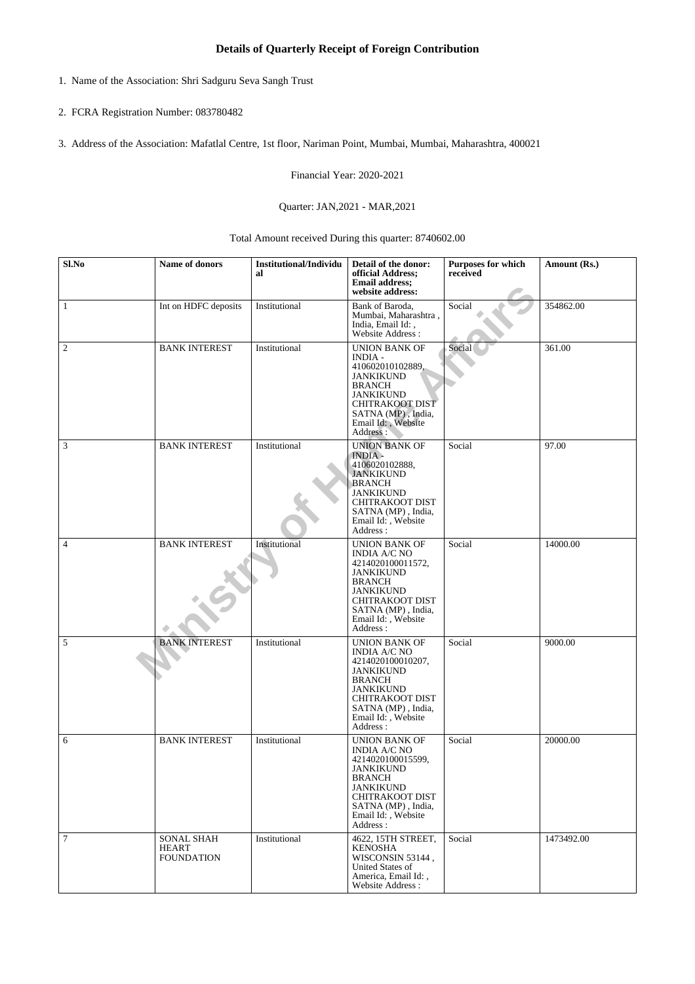## **Details of Quarterly Receipt of Foreign Contribution**

- 1. Name of the Association: Shri Sadguru Seva Sangh Trust
- 2. FCRA Registration Number: 083780482
- 3. Address of the Association: Mafatlal Centre, 1st floor, Nariman Point, Mumbai, Mumbai, Maharashtra, 400021

Financial Year: 2020-2021

## Quarter: JAN,2021 - MAR,2021

Total Amount received During this quarter: 8740602.00

| $Sl$ .No         | Name of donors                                         | <b>Institutional/Individu</b><br>al | Detail of the donor:<br>official Address;<br><b>Email address:</b><br>website address:                                                                                                         | Purposes for which<br>received | Amount (Rs.) |
|------------------|--------------------------------------------------------|-------------------------------------|------------------------------------------------------------------------------------------------------------------------------------------------------------------------------------------------|--------------------------------|--------------|
| 1                | Int on HDFC deposits                                   | Institutional                       | Bank of Baroda,<br>Mumbai, Maharashtra,<br>India, Email Id:,<br>Website Address:                                                                                                               | Social                         | 354862.00    |
| $\boldsymbol{2}$ | <b>BANK INTEREST</b>                                   | Institutional                       | UNION BANK OF<br><b>INDIA -</b><br>410602010102889,<br><b>JANKIKUND</b><br><b>BRANCH</b><br><b>JANKIKUND</b><br><b>CHITRAKOOT DIST</b><br>SATNA (MP), India,<br>Email Id:, Website<br>Address: | Social                         | 361.00       |
| 3                | <b>BANK INTEREST</b>                                   | Institutional                       | <b>UNION BANK OF</b><br><b>INDIA</b> -<br>4106020102888,<br><b>JANKIKUND</b><br><b>BRANCH</b><br><b>JANKIKUND</b><br>CHITRAKOOT DIST<br>SATNA (MP), India,<br>Email Id:, Website<br>Address:   | Social                         | 97.00        |
| 4                | <b>BANK INTEREST</b>                                   | Institutional                       | UNION BANK OF<br><b>INDIA A/C NO</b><br>4214020100011572,<br><b>JANKIKUND</b><br><b>BRANCH</b><br><b>JANKIKUND</b><br>CHITRAKOOT DIST<br>SATNA (MP), India,<br>Email Id:, Website<br>Address:  | Social                         | 14000.00     |
| 5                | <b>BANK INTEREST</b>                                   | Institutional                       | UNION BANK OF<br>INDIA A/C NO<br>4214020100010207,<br><b>JANKIKUND</b><br><b>BRANCH</b><br><b>JANKIKUND</b><br>CHITRAKOOT DIST<br>SATNA (MP), India,<br>Email Id:, Website<br>Address:         | Social                         | 9000.00      |
| 6                | <b>BANK INTEREST</b>                                   | Institutional                       | UNION BANK OF<br>INDIA A/C NO<br>4214020100015599,<br><b>JANKIKUND</b><br><b>BRANCH</b><br><b>JANKIKUND</b><br><b>CHITRAKOOT DIST</b><br>SATNA (MP), India,<br>Email Id:, Website<br>Address:  | Social                         | 20000.00     |
| $\tau$           | <b>SONAL SHAH</b><br><b>HEART</b><br><b>FOUNDATION</b> | Institutional                       | 4622, 15TH STREET,<br><b>KENOSHA</b><br>WISCONSIN 53144,<br>United States of<br>America, Email Id:,<br>Website Address:                                                                        | Social                         | 1473492.00   |